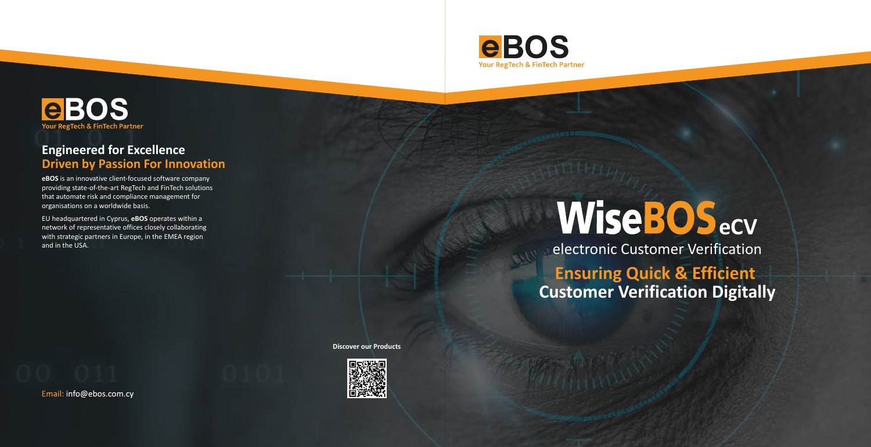## **WiseBOS**<sub>ecv</sub> electronic Customer Verification **Ensuring Quick & Efficient Customer Verification Digitally**





### **Engineered for Excellence Driven by Passion For Innovation**

**eBOS** is an innovative client-focused software company providing state-of-the-art RegTech and FinTech solutions that automate risk and compliance management for organisations on a worldwide basis.

EU headquartered in Cyprus, **eBOS** operates within a network of representative offices closely collaborating with strategic partners in Europe, in the EMEA region and in the USA.

**Discover our Products**



Email: info@ebos.com.cy